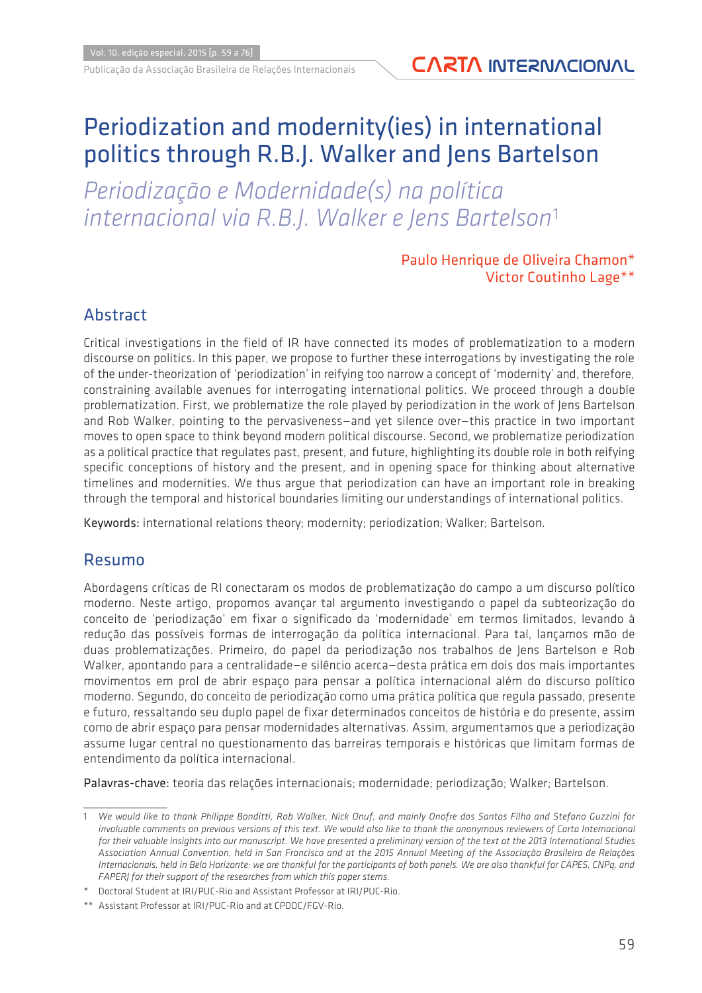# Periodization and modernity(ies) in international politics through R.B.J. Walker and Jens Bartelson

*Periodização e Modernidade(s) na política internacional via R.B.J. Walker e Jens Bartelson*<sup>1</sup>

#### Paulo Henrique de Oliveira Chamon\* Victor Coutinho Lage\*\*

### Abstract

Critical investigations in the field of IR have connected its modes of problematization to a modern discourse on politics. In this paper, we propose to further these interrogations by investigating the role of the under-theorization of 'periodization' in reifying too narrow a concept of 'modernity' and, therefore, constraining available avenues for interrogating international politics. We proceed through a double problematization. First, we problematize the role played by periodization in the work of Jens Bartelson and Rob Walker, pointing to the pervasiveness—and yet silence over—this practice in two important moves to open space to think beyond modern political discourse. Second, we problematize periodization as a political practice that regulates past, present, and future, highlighting its double role in both reifying specific conceptions of history and the present, and in opening space for thinking about alternative timelines and modernities. We thus argue that periodization can have an important role in breaking through the temporal and historical boundaries limiting our understandings of international politics.

Keywords: international relations theory; modernity; periodization; Walker; Bartelson.

#### Resumo

Abordagens críticas de RI conectaram os modos de problematização do campo a um discurso político moderno. Neste artigo, propomos avançar tal argumento investigando o papel da subteorização do conceito de 'periodização' em fixar o significado da 'modernidade' em termos limitados, levando à redução das possíveis formas de interrogação da política internacional. Para tal, lançamos mão de duas problematizações. Primeiro, do papel da periodização nos trabalhos de Jens Bartelson e Rob Walker, apontando para a centralidade—e silêncio acerca—desta prática em dois dos mais importantes movimentos em prol de abrir espaço para pensar a política internacional além do discurso político moderno. Segundo, do conceito de periodização como uma prática política que regula passado, presente e futuro, ressaltando seu duplo papel de fixar determinados conceitos de história e do presente, assim como de abrir espaço para pensar modernidades alternativas. Assim, argumentamos que a periodização assume lugar central no questionamento das barreiras temporais e históricas que limitam formas de entendimento da política internacional.

Palavras-chave: teoria das relações internacionais; modernidade; periodização; Walker; Bartelson.

<sup>1</sup> *We would like to thank Philippe Bonditti, Rob Walker, Nick Onuf, and mainly Onofre dos Santos Filho and Stefano Guzzini for*  invaluable comments on previous versions of this text. We would also like to thank the anonymous reviewers of Carta Internacional *for their valuable insights into our manuscript. We have presented a preliminary version of the text at the 2013 International Studies Association Annual Convention, held in San Francisco and at the 2015 Annual Meeting of the Associação Brasileira de Relações Internacionais, held in Belo Horizonte: we are thankful for the participants of both panels. We are also thankful for CAPES, CNPq, and FAPERJ for their support of the researches from which this paper stems.*

<sup>\*</sup> Doctoral Student at IRI/PUC-Rio and Assistant Professor at IRI/PUC-Rio.

<sup>\*\*</sup> Assistant Professor at IRI/PUC-Rio and at CPDOC/FGV-Rio.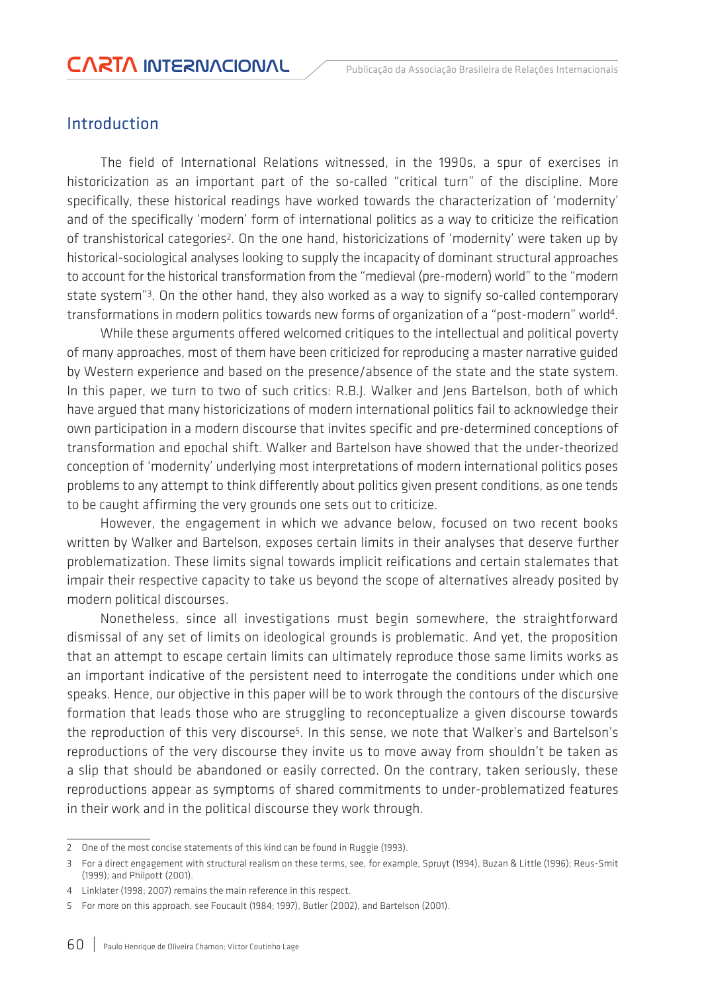### Introduction

The field of International Relations witnessed, in the 1990s, a spur of exercises in historicization as an important part of the so-called "critical turn" of the discipline. More specifically, these historical readings have worked towards the characterization of 'modernity' and of the specifically 'modern' form of international politics as a way to criticize the reification of transhistorical categories2. On the one hand, historicizations of 'modernity' were taken up by historical-sociological analyses looking to supply the incapacity of dominant structural approaches to account for the historical transformation from the "medieval (pre-modern) world" to the "modern state system"<sup>3</sup>. On the other hand, they also worked as a way to signify so-called contemporary transformations in modern politics towards new forms of organization of a "post-modern" world4.

While these arguments offered welcomed critiques to the intellectual and political poverty of many approaches, most of them have been criticized for reproducing a master narrative guided by Western experience and based on the presence/absence of the state and the state system. In this paper, we turn to two of such critics: R.B.J. Walker and Jens Bartelson, both of which have argued that many historicizations of modern international politics fail to acknowledge their own participation in a modern discourse that invites specific and pre-determined conceptions of transformation and epochal shift. Walker and Bartelson have showed that the under-theorized conception of 'modernity' underlying most interpretations of modern international politics poses problems to any attempt to think differently about politics given present conditions, as one tends to be caught affirming the very grounds one sets out to criticize.

However, the engagement in which we advance below, focused on two recent books written by Walker and Bartelson, exposes certain limits in their analyses that deserve further problematization. These limits signal towards implicit reifications and certain stalemates that impair their respective capacity to take us beyond the scope of alternatives already posited by modern political discourses.

Nonetheless, since all investigations must begin somewhere, the straightforward dismissal of any set of limits on ideological grounds is problematic. And yet, the proposition that an attempt to escape certain limits can ultimately reproduce those same limits works as an important indicative of the persistent need to interrogate the conditions under which one speaks. Hence, our objective in this paper will be to work through the contours of the discursive formation that leads those who are struggling to reconceptualize a given discourse towards the reproduction of this very discourse<sup>5</sup>. In this sense, we note that Walker's and Bartelson's reproductions of the very discourse they invite us to move away from shouldn't be taken as a slip that should be abandoned or easily corrected. On the contrary, taken seriously, these reproductions appear as symptoms of shared commitments to under-problematized features in their work and in the political discourse they work through.

<sup>2</sup> One of the most concise statements of this kind can be found in Ruggie (1993).

<sup>3</sup> For a direct engagement with structural realism on these terms, see, for example, Spruyt (1994), Buzan & Little (1996); Reus-Smit (1999); and Philpott (2001).

<sup>4</sup> Linklater (1998; 2007) remains the main reference in this respect.

<sup>5</sup> For more on this approach, see Foucault (1984; 1997), Butler (2002), and Bartelson (2001).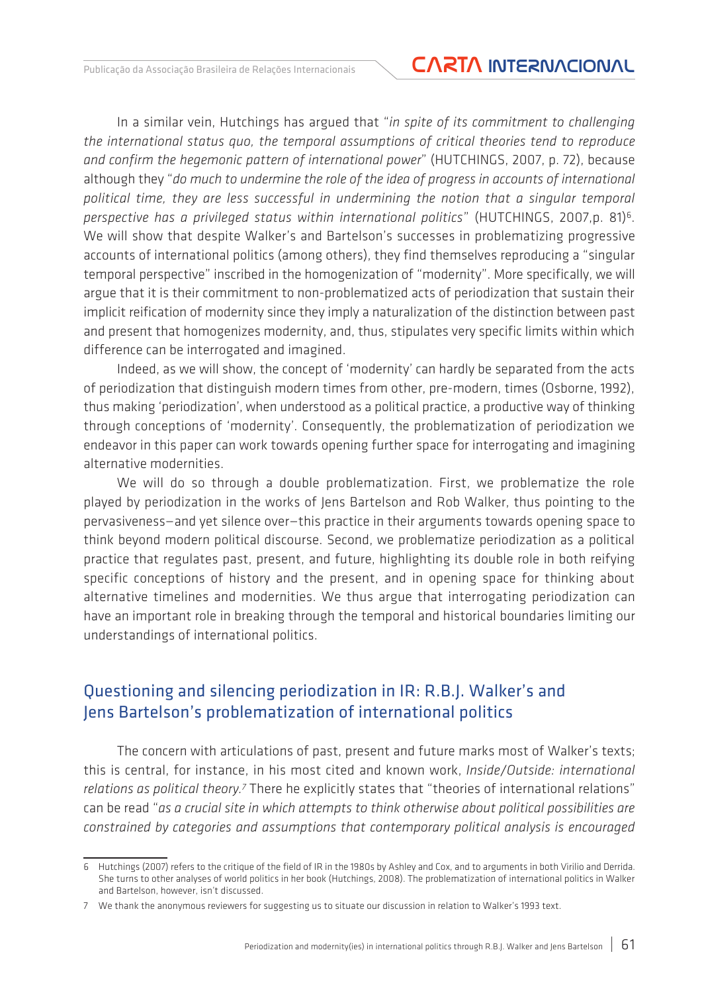## Publicação da Associação Brasileira de Relações Internacionais **CARTA INTERNACIONAL**

In a similar vein, Hutchings has argued that "*in spite of its commitment to challenging the international status quo, the temporal assumptions of critical theories tend to reproduce and confirm the hegemonic pattern of international power*" (HUTCHINGS, 2007, p. 72), because although they "*do much to undermine the role of the idea of progress in accounts of international political time, they are less successful in undermining the notion that a singular temporal perspective has a privileged status within international politics*" (HUTCHINGS, 2007,p. 81)6. We will show that despite Walker's and Bartelson's successes in problematizing progressive accounts of international politics (among others), they find themselves reproducing a "singular temporal perspective" inscribed in the homogenization of "modernity". More specifically, we will argue that it is their commitment to non-problematized acts of periodization that sustain their implicit reification of modernity since they imply a naturalization of the distinction between past and present that homogenizes modernity, and, thus, stipulates very specific limits within which difference can be interrogated and imagined.

Indeed, as we will show, the concept of 'modernity' can hardly be separated from the acts of periodization that distinguish modern times from other, pre-modern, times (Osborne, 1992), thus making 'periodization', when understood as a political practice, a productive way of thinking through conceptions of 'modernity'. Consequently, the problematization of periodization we endeavor in this paper can work towards opening further space for interrogating and imagining alternative modernities.

We will do so through a double problematization. First, we problematize the role played by periodization in the works of Jens Bartelson and Rob Walker, thus pointing to the pervasiveness—and yet silence over—this practice in their arguments towards opening space to think beyond modern political discourse. Second, we problematize periodization as a political practice that regulates past, present, and future, highlighting its double role in both reifying specific conceptions of history and the present, and in opening space for thinking about alternative timelines and modernities. We thus argue that interrogating periodization can have an important role in breaking through the temporal and historical boundaries limiting our understandings of international politics.

### Questioning and silencing periodization in IR: R.B.J. Walker's and Jens Bartelson's problematization of international politics

The concern with articulations of past, present and future marks most of Walker's texts; this is central, for instance, in his most cited and known work, *Inside/Outside: international relations as political theory.7* There he explicitly states that "theories of international relations" can be read "*as a crucial site in which attempts to think otherwise about political possibilities are constrained by categories and assumptions that contemporary political analysis is encouraged* 

<sup>6</sup> Hutchings (2007) refers to the critique of the field of IR in the 1980s by Ashley and Cox, and to arguments in both Virilio and Derrida. She turns to other analyses of world politics in her book (Hutchings, 2008). The problematization of international politics in Walker and Bartelson, however, isn't discussed.

<sup>7</sup> We thank the anonymous reviewers for suggesting us to situate our discussion in relation to Walker's 1993 text.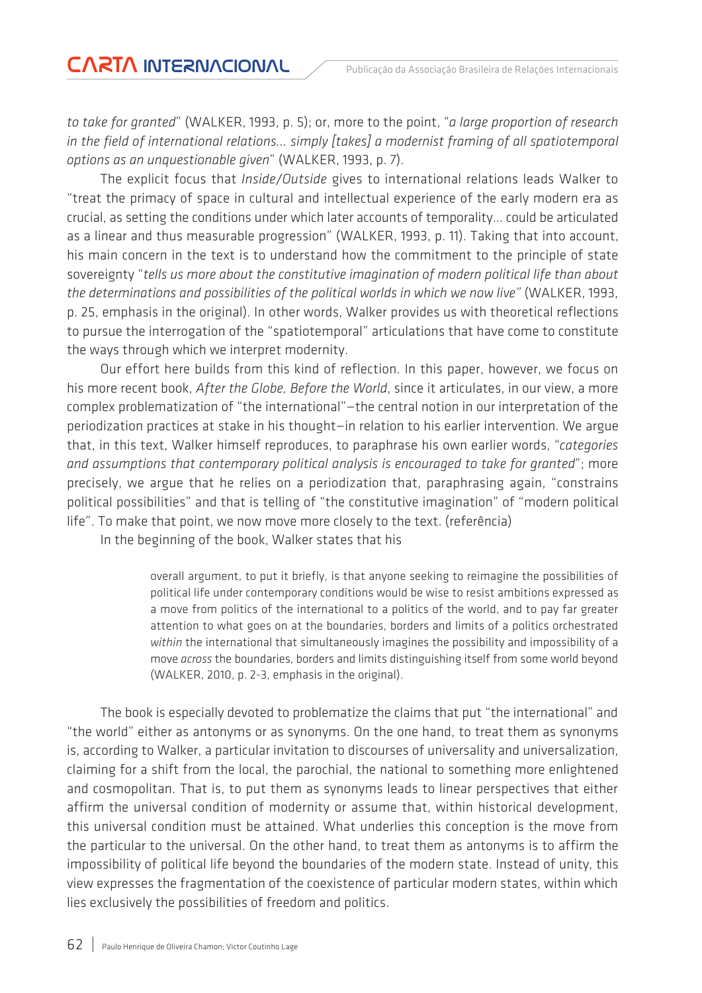*to take for granted*" (WALKER, 1993, p. 5); or, more to the point, "*a large proportion of research in the field of international relations... simply [takes] a modernist framing of all spatiotemporal options as an unquestionable given*" (WALKER, 1993, p. 7).

The explicit focus that *Inside/Outside* gives to international relations leads Walker to "treat the primacy of space in cultural and intellectual experience of the early modern era as crucial, as setting the conditions under which later accounts of temporality... could be articulated as a linear and thus measurable progression" (WALKER, 1993, p. 11). Taking that into account, his main concern in the text is to understand how the commitment to the principle of state sovereignty "*tells us more about the constitutive imagination of modern political life than about the determinations and possibilities of the political worlds in which we now live"* (WALKER, 1993, p. 25, emphasis in the original). In other words, Walker provides us with theoretical reflections to pursue the interrogation of the "spatiotemporal" articulations that have come to constitute the ways through which we interpret modernity.

Our effort here builds from this kind of reflection. In this paper, however, we focus on his more recent book, *After the Globe, Before the World*, since it articulates, in our view, a more complex problematization of "the international"—the central notion in our interpretation of the periodization practices at stake in his thought—in relation to his earlier intervention. We argue that, in this text, Walker himself reproduces, to paraphrase his own earlier words, "*categories and assumptions that contemporary political analysis is encouraged to take for granted*"; more precisely, we argue that he relies on a periodization that, paraphrasing again, "constrains political possibilities" and that is telling of "the constitutive imagination" of "modern political life". To make that point, we now move more closely to the text. (referência)

In the beginning of the book, Walker states that his

overall argument, to put it briefly, is that anyone seeking to reimagine the possibilities of political life under contemporary conditions would be wise to resist ambitions expressed as a move from politics of the international to a politics of the world, and to pay far greater attention to what goes on at the boundaries, borders and limits of a politics orchestrated *within* the international that simultaneously imagines the possibility and impossibility of a move *across* the boundaries, borders and limits distinguishing itself from some world beyond (WALKER, 2010, p. 2-3, emphasis in the original).

The book is especially devoted to problematize the claims that put "the international" and "the world" either as antonyms or as synonyms. On the one hand, to treat them as synonyms is, according to Walker, a particular invitation to discourses of universality and universalization, claiming for a shift from the local, the parochial, the national to something more enlightened and cosmopolitan. That is, to put them as synonyms leads to linear perspectives that either affirm the universal condition of modernity or assume that, within historical development, this universal condition must be attained. What underlies this conception is the move from the particular to the universal. On the other hand, to treat them as antonyms is to affirm the impossibility of political life beyond the boundaries of the modern state. Instead of unity, this view expresses the fragmentation of the coexistence of particular modern states, within which lies exclusively the possibilities of freedom and politics.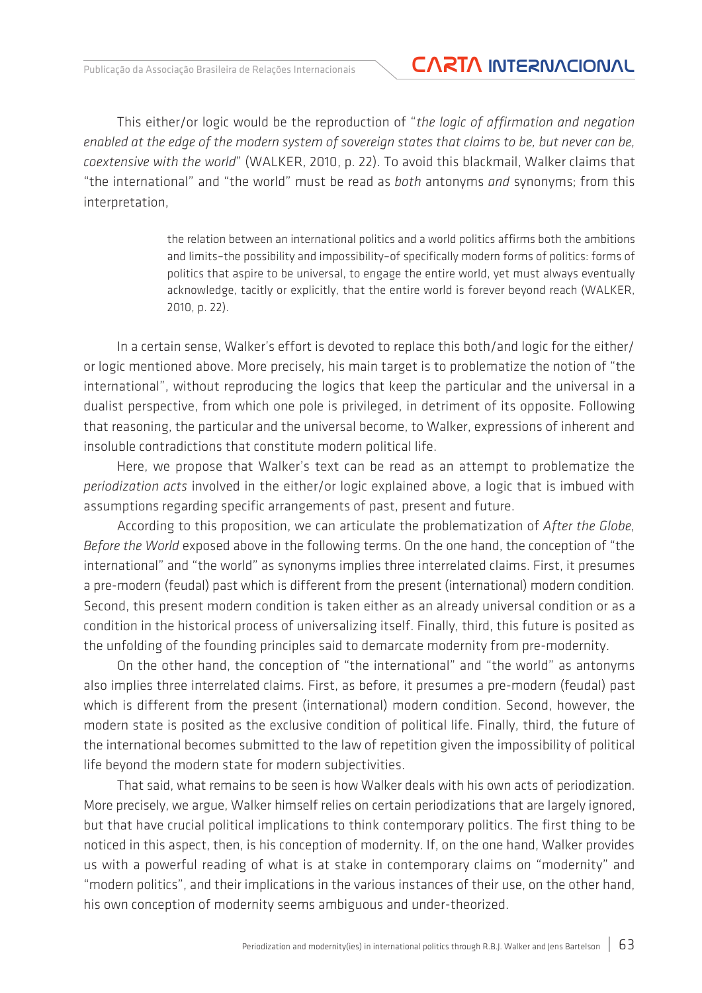### Publicação da Associação Brasileira de Relações Internacionais **CARTA INTERNACIONAL**

This either/or logic would be the reproduction of "*the logic of affirmation and negation enabled at the edge of the modern system of sovereign states that claims to be, but never can be, coextensive with the world*" (WALKER, 2010, p. 22). To avoid this blackmail, Walker claims that "the international" and "the world" must be read as *both* antonyms *and* synonyms; from this interpretation,

> the relation between an international politics and a world politics affirms both the ambitions and limits–the possibility and impossibility–of specifically modern forms of politics: forms of politics that aspire to be universal, to engage the entire world, yet must always eventually acknowledge, tacitly or explicitly, that the entire world is forever beyond reach (WALKER, 2010, p. 22).

In a certain sense, Walker's effort is devoted to replace this both/and logic for the either/ or logic mentioned above. More precisely, his main target is to problematize the notion of "the international", without reproducing the logics that keep the particular and the universal in a dualist perspective, from which one pole is privileged, in detriment of its opposite. Following that reasoning, the particular and the universal become, to Walker, expressions of inherent and insoluble contradictions that constitute modern political life.

Here, we propose that Walker's text can be read as an attempt to problematize the *periodization acts* involved in the either/or logic explained above, a logic that is imbued with assumptions regarding specific arrangements of past, present and future.

According to this proposition, we can articulate the problematization of *After the Globe, Before the World* exposed above in the following terms. On the one hand, the conception of "the international" and "the world" as synonyms implies three interrelated claims. First, it presumes a pre-modern (feudal) past which is different from the present (international) modern condition. Second, this present modern condition is taken either as an already universal condition or as a condition in the historical process of universalizing itself. Finally, third, this future is posited as the unfolding of the founding principles said to demarcate modernity from pre-modernity.

On the other hand, the conception of "the international" and "the world" as antonyms also implies three interrelated claims. First, as before, it presumes a pre-modern (feudal) past which is different from the present (international) modern condition. Second, however, the modern state is posited as the exclusive condition of political life. Finally, third, the future of the international becomes submitted to the law of repetition given the impossibility of political life beyond the modern state for modern subjectivities.

That said, what remains to be seen is how Walker deals with his own acts of periodization. More precisely, we argue, Walker himself relies on certain periodizations that are largely ignored, but that have crucial political implications to think contemporary politics. The first thing to be noticed in this aspect, then, is his conception of modernity. If, on the one hand, Walker provides us with a powerful reading of what is at stake in contemporary claims on "modernity" and "modern politics", and their implications in the various instances of their use, on the other hand, his own conception of modernity seems ambiguous and under-theorized.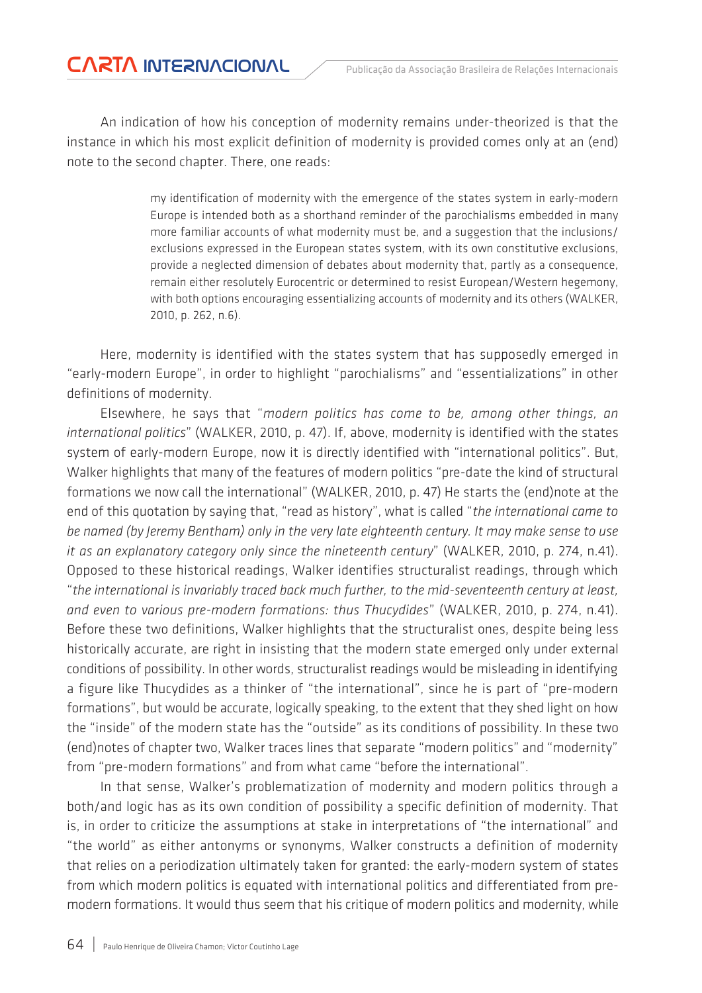An indication of how his conception of modernity remains under-theorized is that the instance in which his most explicit definition of modernity is provided comes only at an (end) note to the second chapter. There, one reads:

> my identification of modernity with the emergence of the states system in early-modern Europe is intended both as a shorthand reminder of the parochialisms embedded in many more familiar accounts of what modernity must be, and a suggestion that the inclusions/ exclusions expressed in the European states system, with its own constitutive exclusions, provide a neglected dimension of debates about modernity that, partly as a consequence, remain either resolutely Eurocentric or determined to resist European/Western hegemony, with both options encouraging essentializing accounts of modernity and its others (WALKER, 2010, p. 262, n.6).

Here, modernity is identified with the states system that has supposedly emerged in "early-modern Europe", in order to highlight "parochialisms" and "essentializations" in other definitions of modernity.

Elsewhere, he says that "*modern politics has come to be, among other things, an international politics*" (WALKER, 2010, p. 47). If, above, modernity is identified with the states system of early-modern Europe, now it is directly identified with "international politics". But, Walker highlights that many of the features of modern politics "pre-date the kind of structural formations we now call the international" (WALKER, 2010, p. 47) He starts the (end)note at the end of this quotation by saying that, "read as history", what is called "*the international came to be named (by Jeremy Bentham) only in the very late eighteenth century. It may make sense to use it as an explanatory category only since the nineteenth century*" (WALKER, 2010, p. 274, n.41). Opposed to these historical readings, Walker identifies structuralist readings, through which "*the international is invariably traced back much further, to the mid-seventeenth century at least, and even to various pre-modern formations: thus Thucydides*" (WALKER, 2010, p. 274, n.41). Before these two definitions, Walker highlights that the structuralist ones, despite being less historically accurate, are right in insisting that the modern state emerged only under external conditions of possibility. In other words, structuralist readings would be misleading in identifying a figure like Thucydides as a thinker of "the international", since he is part of "pre-modern formations", but would be accurate, logically speaking, to the extent that they shed light on how the "inside" of the modern state has the "outside" as its conditions of possibility. In these two (end)notes of chapter two, Walker traces lines that separate "modern politics" and "modernity" from "pre-modern formations" and from what came "before the international".

In that sense, Walker's problematization of modernity and modern politics through a both/and logic has as its own condition of possibility a specific definition of modernity. That is, in order to criticize the assumptions at stake in interpretations of "the international" and "the world" as either antonyms or synonyms, Walker constructs a definition of modernity that relies on a periodization ultimately taken for granted: the early-modern system of states from which modern politics is equated with international politics and differentiated from premodern formations. It would thus seem that his critique of modern politics and modernity, while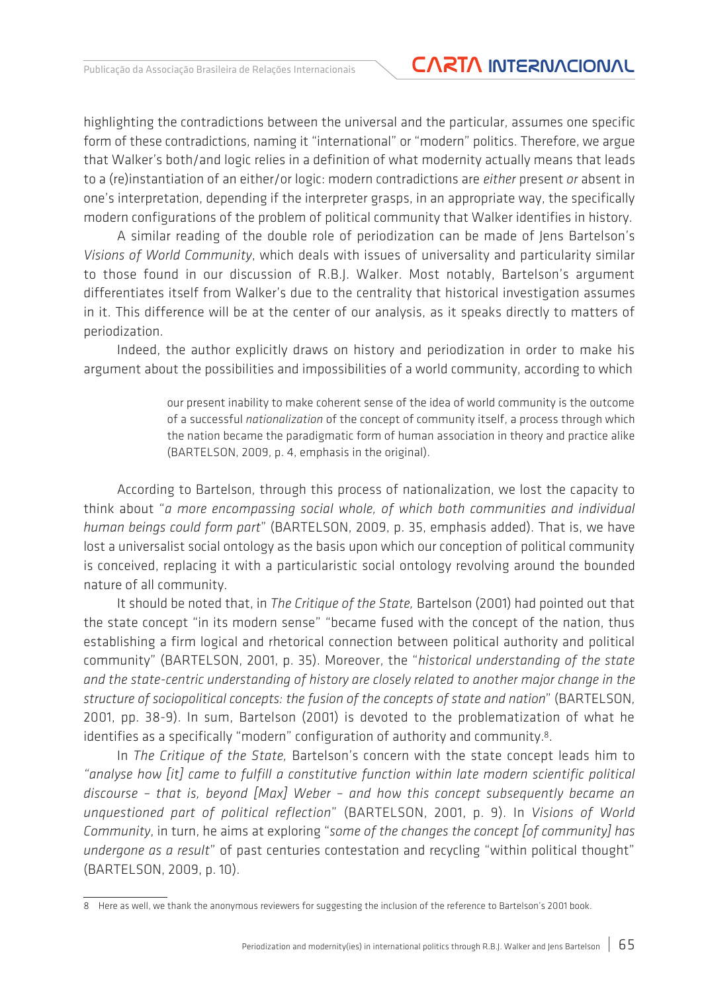highlighting the contradictions between the universal and the particular, assumes one specific form of these contradictions, naming it "international" or "modern" politics. Therefore, we argue that Walker's both/and logic relies in a definition of what modernity actually means that leads to a (re)instantiation of an either/or logic: modern contradictions are *either* present *or* absent in one's interpretation, depending if the interpreter grasps, in an appropriate way, the specifically modern configurations of the problem of political community that Walker identifies in history.

A similar reading of the double role of periodization can be made of Jens Bartelson's *Visions of World Community*, which deals with issues of universality and particularity similar to those found in our discussion of R.B.J. Walker. Most notably, Bartelson's argument differentiates itself from Walker's due to the centrality that historical investigation assumes in it. This difference will be at the center of our analysis, as it speaks directly to matters of periodization.

Indeed, the author explicitly draws on history and periodization in order to make his argument about the possibilities and impossibilities of a world community, according to which

> our present inability to make coherent sense of the idea of world community is the outcome of a successful *nationalization* of the concept of community itself, a process through which the nation became the paradigmatic form of human association in theory and practice alike (BARTELSON, 2009, p. 4, emphasis in the original).

According to Bartelson, through this process of nationalization, we lost the capacity to think about "*a more encompassing social whole, of which both communities and individual human beings could form part*" (BARTELSON, 2009, p. 35, emphasis added). That is, we have lost a universalist social ontology as the basis upon which our conception of political community is conceived, replacing it with a particularistic social ontology revolving around the bounded nature of all community.

It should be noted that, in *The Critique of the State,* Bartelson (2001) had pointed out that the state concept "in its modern sense" "became fused with the concept of the nation, thus establishing a firm logical and rhetorical connection between political authority and political community" (BARTELSON, 2001, p. 35). Moreover, the "*historical understanding of the state and the state-centric understanding of history are closely related to another major change in the structure of sociopolitical concepts: the fusion of the concepts of state and nation*" (BARTELSON, 2001, pp. 38-9). In sum, Bartelson (2001) is devoted to the problematization of what he identifies as a specifically "modern" configuration of authority and community.8.

In *The Critique of the State,* Bartelson's concern with the state concept leads him to *"analyse how [it] came to fulfill a constitutive function within late modern scientific political discourse – that is, beyond [Max] Weber – and how this concept subsequently became an unquestioned part of political reflection*" (BARTELSON, 2001, p. 9). In *Visions of World Community*, in turn, he aims at exploring "*some of the changes the concept [of community] has undergone as a result*" of past centuries contestation and recycling "within political thought" (BARTELSON, 2009, p. 10).

<sup>8</sup> Here as well, we thank the anonymous reviewers for suggesting the inclusion of the reference to Bartelson's 2001 book.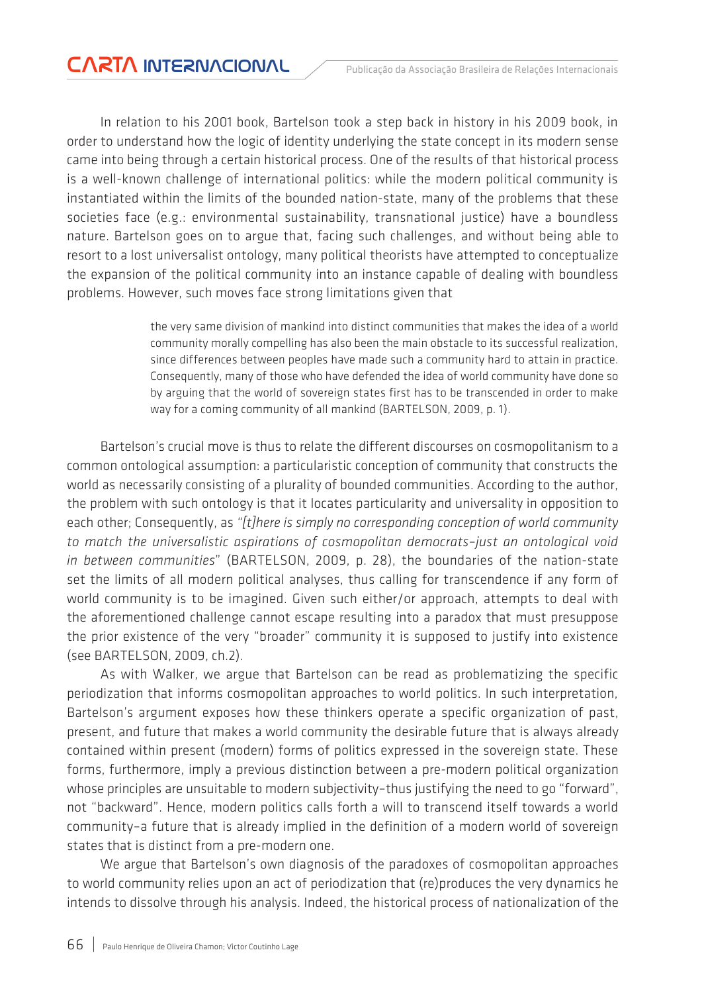In relation to his 2001 book, Bartelson took a step back in history in his 2009 book, in order to understand how the logic of identity underlying the state concept in its modern sense came into being through a certain historical process. One of the results of that historical process is a well-known challenge of international politics: while the modern political community is instantiated within the limits of the bounded nation-state, many of the problems that these societies face (e.g.: environmental sustainability, transnational justice) have a boundless nature. Bartelson goes on to argue that, facing such challenges, and without being able to resort to a lost universalist ontology, many political theorists have attempted to conceptualize the expansion of the political community into an instance capable of dealing with boundless problems. However, such moves face strong limitations given that

> the very same division of mankind into distinct communities that makes the idea of a world community morally compelling has also been the main obstacle to its successful realization, since differences between peoples have made such a community hard to attain in practice. Consequently, many of those who have defended the idea of world community have done so by arguing that the world of sovereign states first has to be transcended in order to make way for a coming community of all mankind (BARTELSON, 2009, p. 1).

Bartelson's crucial move is thus to relate the different discourses on cosmopolitanism to a common ontological assumption: a particularistic conception of community that constructs the world as necessarily consisting of a plurality of bounded communities. According to the author, the problem with such ontology is that it locates particularity and universality in opposition to each other; Consequently, as *"[t]here is simply no corresponding conception of world community to match the universalistic aspirations of cosmopolitan democrats–just an ontological void in between communities*" (BARTELSON, 2009, p. 28), the boundaries of the nation-state set the limits of all modern political analyses, thus calling for transcendence if any form of world community is to be imagined. Given such either/or approach, attempts to deal with the aforementioned challenge cannot escape resulting into a paradox that must presuppose the prior existence of the very "broader" community it is supposed to justify into existence (see BARTELSON, 2009, ch.2).

As with Walker, we argue that Bartelson can be read as problematizing the specific periodization that informs cosmopolitan approaches to world politics. In such interpretation, Bartelson's argument exposes how these thinkers operate a specific organization of past, present, and future that makes a world community the desirable future that is always already contained within present (modern) forms of politics expressed in the sovereign state. These forms, furthermore, imply a previous distinction between a pre-modern political organization whose principles are unsuitable to modern subjectivity–thus justifying the need to go "forward", not "backward". Hence, modern politics calls forth a will to transcend itself towards a world community–a future that is already implied in the definition of a modern world of sovereign states that is distinct from a pre-modern one.

We argue that Bartelson's own diagnosis of the paradoxes of cosmopolitan approaches to world community relies upon an act of periodization that (re)produces the very dynamics he intends to dissolve through his analysis. Indeed, the historical process of nationalization of the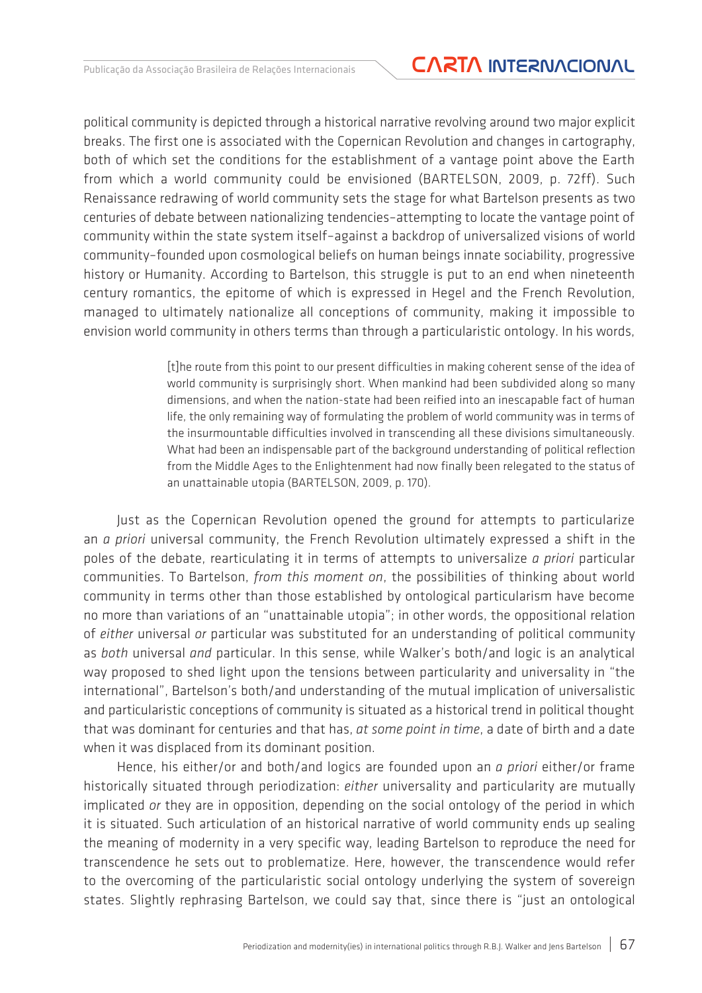## Publicação da Associação Brasileira de Relações Internacionais **CARTA INTERNACIONAL**

political community is depicted through a historical narrative revolving around two major explicit breaks. The first one is associated with the Copernican Revolution and changes in cartography, both of which set the conditions for the establishment of a vantage point above the Earth from which a world community could be envisioned (BARTELSON, 2009, p. 72ff). Such Renaissance redrawing of world community sets the stage for what Bartelson presents as two centuries of debate between nationalizing tendencies–attempting to locate the vantage point of community within the state system itself–against a backdrop of universalized visions of world community–founded upon cosmological beliefs on human beings innate sociability, progressive history or Humanity. According to Bartelson, this struggle is put to an end when nineteenth century romantics, the epitome of which is expressed in Hegel and the French Revolution, managed to ultimately nationalize all conceptions of community, making it impossible to envision world community in others terms than through a particularistic ontology. In his words,

> [t]he route from this point to our present difficulties in making coherent sense of the idea of world community is surprisingly short. When mankind had been subdivided along so many dimensions, and when the nation-state had been reified into an inescapable fact of human life, the only remaining way of formulating the problem of world community was in terms of the insurmountable difficulties involved in transcending all these divisions simultaneously. What had been an indispensable part of the background understanding of political reflection from the Middle Ages to the Enlightenment had now finally been relegated to the status of an unattainable utopia (BARTELSON, 2009, p. 170).

Just as the Copernican Revolution opened the ground for attempts to particularize an *a priori* universal community, the French Revolution ultimately expressed a shift in the poles of the debate, rearticulating it in terms of attempts to universalize *a priori* particular communities. To Bartelson, *from this moment on*, the possibilities of thinking about world community in terms other than those established by ontological particularism have become no more than variations of an "unattainable utopia"; in other words, the oppositional relation of *either* universal *or* particular was substituted for an understanding of political community as *both* universal *and* particular. In this sense, while Walker's both/and logic is an analytical way proposed to shed light upon the tensions between particularity and universality in "the international", Bartelson's both/and understanding of the mutual implication of universalistic and particularistic conceptions of community is situated as a historical trend in political thought that was dominant for centuries and that has, *at some point in time*, a date of birth and a date when it was displaced from its dominant position.

Hence, his either/or and both/and logics are founded upon an *a priori* either/or frame historically situated through periodization: *either* universality and particularity are mutually implicated *or* they are in opposition, depending on the social ontology of the period in which it is situated. Such articulation of an historical narrative of world community ends up sealing the meaning of modernity in a very specific way, leading Bartelson to reproduce the need for transcendence he sets out to problematize. Here, however, the transcendence would refer to the overcoming of the particularistic social ontology underlying the system of sovereign states. Slightly rephrasing Bartelson, we could say that, since there is "just an ontological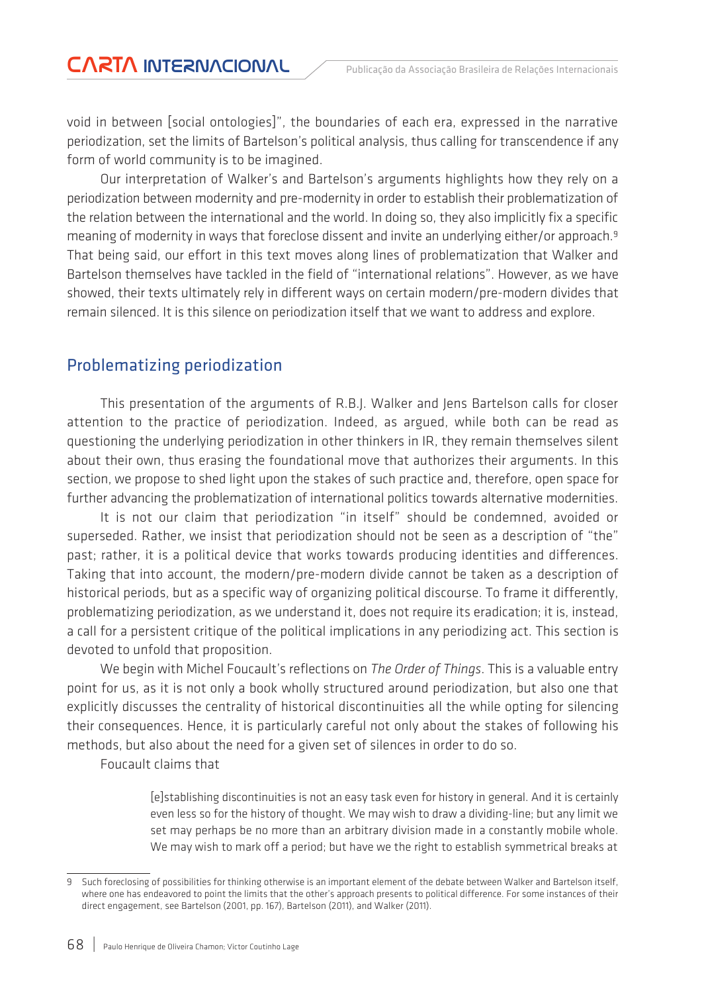void in between [social ontologies]", the boundaries of each era, expressed in the narrative periodization, set the limits of Bartelson's political analysis, thus calling for transcendence if any form of world community is to be imagined.

Our interpretation of Walker's and Bartelson's arguments highlights how they rely on a periodization between modernity and pre-modernity in order to establish their problematization of the relation between the international and the world. In doing so, they also implicitly fix a specific meaning of modernity in ways that foreclose dissent and invite an underlying either/or approach.9 That being said, our effort in this text moves along lines of problematization that Walker and Bartelson themselves have tackled in the field of "international relations". However, as we have showed, their texts ultimately rely in different ways on certain modern/pre-modern divides that remain silenced. It is this silence on periodization itself that we want to address and explore.

#### Problematizing periodization

This presentation of the arguments of R.B.J. Walker and Jens Bartelson calls for closer attention to the practice of periodization. Indeed, as argued, while both can be read as questioning the underlying periodization in other thinkers in IR, they remain themselves silent about their own, thus erasing the foundational move that authorizes their arguments. In this section, we propose to shed light upon the stakes of such practice and, therefore, open space for further advancing the problematization of international politics towards alternative modernities.

It is not our claim that periodization "in itself" should be condemned, avoided or superseded. Rather, we insist that periodization should not be seen as a description of "the" past; rather, it is a political device that works towards producing identities and differences. Taking that into account, the modern/pre-modern divide cannot be taken as a description of historical periods, but as a specific way of organizing political discourse. To frame it differently, problematizing periodization, as we understand it, does not require its eradication; it is, instead, a call for a persistent critique of the political implications in any periodizing act. This section is devoted to unfold that proposition.

We begin with Michel Foucault's reflections on *The Order of Things*. This is a valuable entry point for us, as it is not only a book wholly structured around periodization, but also one that explicitly discusses the centrality of historical discontinuities all the while opting for silencing their consequences. Hence, it is particularly careful not only about the stakes of following his methods, but also about the need for a given set of silences in order to do so.

Foucault claims that

[e]stablishing discontinuities is not an easy task even for history in general. And it is certainly even less so for the history of thought. We may wish to draw a dividing-line; but any limit we set may perhaps be no more than an arbitrary division made in a constantly mobile whole. We may wish to mark off a period; but have we the right to establish symmetrical breaks at

<sup>9</sup> Such foreclosing of possibilities for thinking otherwise is an important element of the debate between Walker and Bartelson itself, where one has endeavored to point the limits that the other's approach presents to political difference. For some instances of their direct engagement, see Bartelson (2001, pp. 167), Bartelson (2011), and Walker (2011).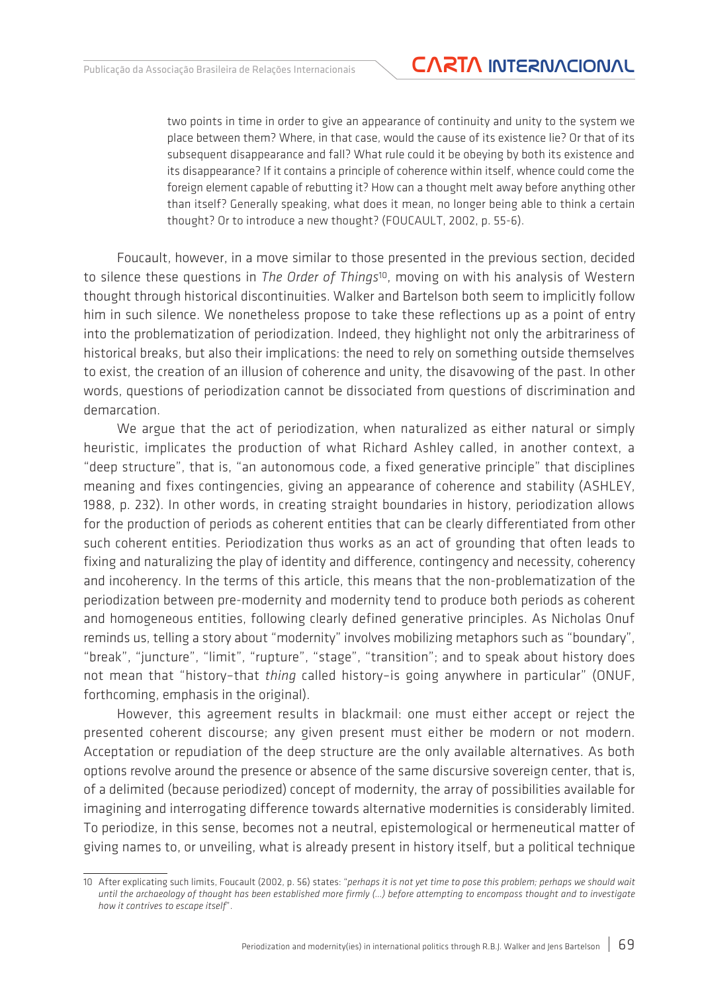two points in time in order to give an appearance of continuity and unity to the system we place between them? Where, in that case, would the cause of its existence lie? Or that of its subsequent disappearance and fall? What rule could it be obeying by both its existence and its disappearance? If it contains a principle of coherence within itself, whence could come the foreign element capable of rebutting it? How can a thought melt away before anything other than itself? Generally speaking, what does it mean, no longer being able to think a certain thought? Or to introduce a new thought? (FOUCAULT, 2002, p. 55-6).

Foucault, however, in a move similar to those presented in the previous section, decided to silence these questions in *The Order of Things*10, moving on with his analysis of Western thought through historical discontinuities. Walker and Bartelson both seem to implicitly follow him in such silence. We nonetheless propose to take these reflections up as a point of entry into the problematization of periodization. Indeed, they highlight not only the arbitrariness of historical breaks, but also their implications: the need to rely on something outside themselves to exist, the creation of an illusion of coherence and unity, the disavowing of the past. In other words, questions of periodization cannot be dissociated from questions of discrimination and demarcation.

We argue that the act of periodization, when naturalized as either natural or simply heuristic, implicates the production of what Richard Ashley called, in another context, a "deep structure", that is, "an autonomous code, a fixed generative principle" that disciplines meaning and fixes contingencies, giving an appearance of coherence and stability (ASHLEY, 1988, p. 232). In other words, in creating straight boundaries in history, periodization allows for the production of periods as coherent entities that can be clearly differentiated from other such coherent entities. Periodization thus works as an act of grounding that often leads to fixing and naturalizing the play of identity and difference, contingency and necessity, coherency and incoherency. In the terms of this article, this means that the non-problematization of the periodization between pre-modernity and modernity tend to produce both periods as coherent and homogeneous entities, following clearly defined generative principles. As Nicholas Onuf reminds us, telling a story about "modernity" involves mobilizing metaphors such as "boundary", "break", "juncture", "limit", "rupture", "stage", "transition"; and to speak about history does not mean that "history–that *thing* called history–is going anywhere in particular" (ONUF, forthcoming, emphasis in the original).

However, this agreement results in blackmail: one must either accept or reject the presented coherent discourse; any given present must either be modern or not modern. Acceptation or repudiation of the deep structure are the only available alternatives. As both options revolve around the presence or absence of the same discursive sovereign center, that is, of a delimited (because periodized) concept of modernity, the array of possibilities available for imagining and interrogating difference towards alternative modernities is considerably limited. To periodize, in this sense, becomes not a neutral, epistemological or hermeneutical matter of giving names to, or unveiling, what is already present in history itself, but a political technique

<sup>10</sup> After explicating such limits, Foucault (2002, p. 56) states: "*perhaps it is not yet time to pose this problem; perhaps we should wait until the archaeology of thought has been established more firmly (…) before attempting to encompass thought and to investigate how it contrives to escape itself*".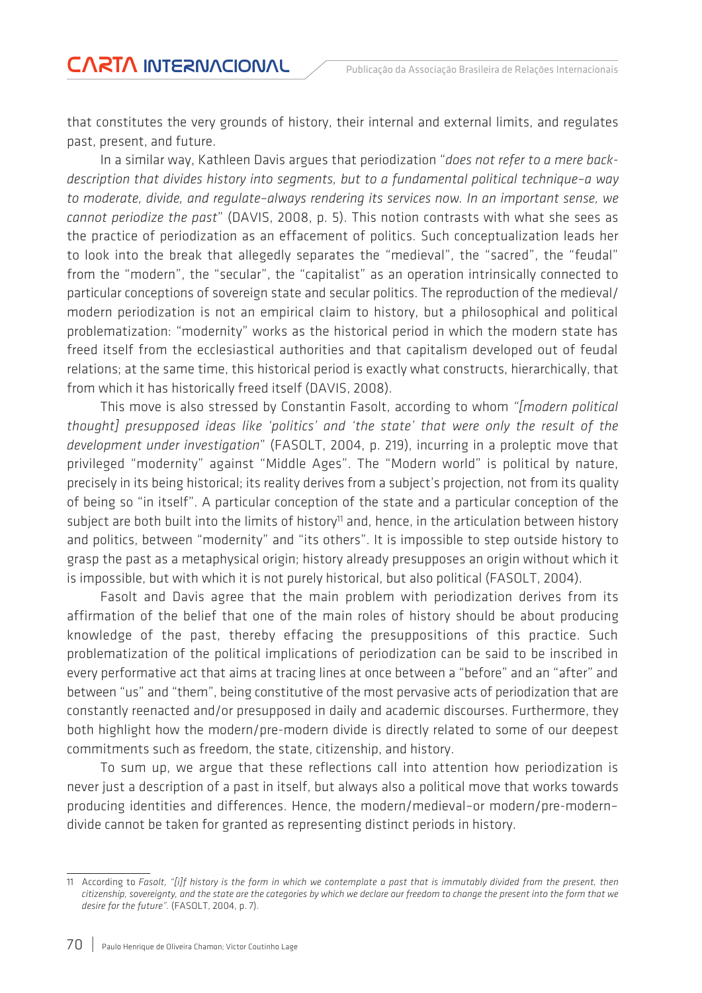that constitutes the very grounds of history, their internal and external limits, and regulates past, present, and future.

In a similar way, Kathleen Davis argues that periodization "*does not refer to a mere backdescription that divides history into segments, but to a fundamental political technique–a way to moderate, divide, and regulate–always rendering its services now. In an important sense, we cannot periodize the past*" (DAVIS, 2008, p. 5). This notion contrasts with what she sees as the practice of periodization as an effacement of politics. Such conceptualization leads her to look into the break that allegedly separates the "medieval", the "sacred", the "feudal" from the "modern", the "secular", the "capitalist" as an operation intrinsically connected to particular conceptions of sovereign state and secular politics. The reproduction of the medieval/ modern periodization is not an empirical claim to history, but a philosophical and political problematization: "modernity" works as the historical period in which the modern state has freed itself from the ecclesiastical authorities and that capitalism developed out of feudal relations; at the same time, this historical period is exactly what constructs, hierarchically, that from which it has historically freed itself (DAVIS, 2008).

This move is also stressed by Constantin Fasolt, according to whom *"[modern political thought] presupposed ideas like 'politics' and 'the state' that were only the result of the development under investigation*" (FASOLT, 2004, p. 219), incurring in a proleptic move that privileged "modernity" against "Middle Ages". The "Modern world" is political by nature, precisely in its being historical; its reality derives from a subject's projection, not from its quality of being so "in itself". A particular conception of the state and a particular conception of the subject are both built into the limits of history<sup>11</sup> and, hence, in the articulation between history and politics, between "modernity" and "its others". It is impossible to step outside history to grasp the past as a metaphysical origin; history already presupposes an origin without which it is impossible, but with which it is not purely historical, but also political (FASOLT, 2004).

Fasolt and Davis agree that the main problem with periodization derives from its affirmation of the belief that one of the main roles of history should be about producing knowledge of the past, thereby effacing the presuppositions of this practice. Such problematization of the political implications of periodization can be said to be inscribed in every performative act that aims at tracing lines at once between a "before" and an "after" and between "us" and "them", being constitutive of the most pervasive acts of periodization that are constantly reenacted and/or presupposed in daily and academic discourses. Furthermore, they both highlight how the modern/pre-modern divide is directly related to some of our deepest commitments such as freedom, the state, citizenship, and history.

To sum up, we argue that these reflections call into attention how periodization is never just a description of a past in itself, but always also a political move that works towards producing identities and differences. Hence, the modern/medieval–or modern/pre-modern– divide cannot be taken for granted as representing distinct periods in history.

<sup>11</sup> According to *Fasolt, "[i]f history is the form in which we contemplate a past that is immutably divided from the present, then citizenship, sovereignty, and the state are the categories by which we declare our freedom to change the present into the form that we desire for the future".* (FASOLT, 2004, p. 7).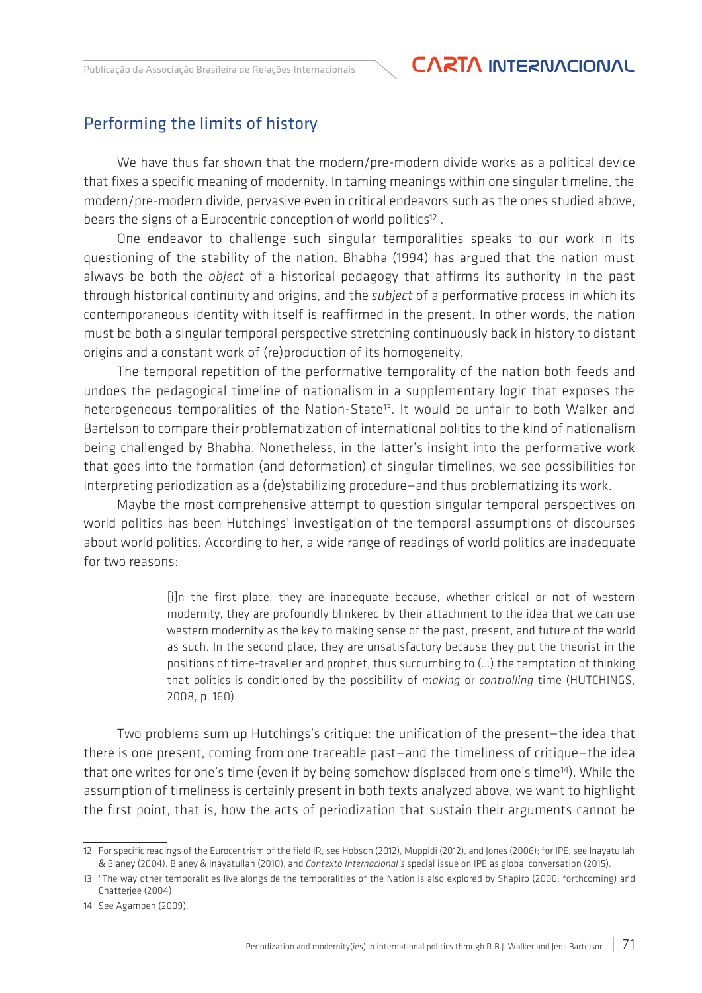### Performing the limits of history

We have thus far shown that the modern/pre-modern divide works as a political device that fixes a specific meaning of modernity. In taming meanings within one singular timeline, the modern/pre-modern divide, pervasive even in critical endeavors such as the ones studied above, bears the signs of a Eurocentric conception of world politics<sup>12</sup>.

One endeavor to challenge such singular temporalities speaks to our work in its questioning of the stability of the nation. Bhabha (1994) has argued that the nation must always be both the *object* of a historical pedagogy that affirms its authority in the past through historical continuity and origins, and the *subject* of a performative process in which its contemporaneous identity with itself is reaffirmed in the present. In other words, the nation must be both a singular temporal perspective stretching continuously back in history to distant origins and a constant work of (re)production of its homogeneity.

The temporal repetition of the performative temporality of the nation both feeds and undoes the pedagogical timeline of nationalism in a supplementary logic that exposes the heterogeneous temporalities of the Nation-State<sup>13</sup>. It would be unfair to both Walker and Bartelson to compare their problematization of international politics to the kind of nationalism being challenged by Bhabha. Nonetheless, in the latter's insight into the performative work that goes into the formation (and deformation) of singular timelines, we see possibilities for interpreting periodization as a (de)stabilizing procedure—and thus problematizing its work.

Maybe the most comprehensive attempt to question singular temporal perspectives on world politics has been Hutchings' investigation of the temporal assumptions of discourses about world politics. According to her, a wide range of readings of world politics are inadequate for two reasons:

> [i]n the first place, they are inadequate because, whether critical or not of western modernity, they are profoundly blinkered by their attachment to the idea that we can use western modernity as the key to making sense of the past, present, and future of the world as such. In the second place, they are unsatisfactory because they put the theorist in the positions of time-traveller and prophet, thus succumbing to (…) the temptation of thinking that politics is conditioned by the possibility of *making* or *controlling* time (HUTCHINGS, 2008, p. 160).

Two problems sum up Hutchings's critique: the unification of the present—the idea that there is one present, coming from one traceable past—and the timeliness of critique—the idea that one writes for one's time (even if by being somehow displaced from one's time14). While the assumption of timeliness is certainly present in both texts analyzed above, we want to highlight the first point, that is, how the acts of periodization that sustain their arguments cannot be

<sup>12</sup> For specific readings of the Eurocentrism of the field IR, see Hobson (2012), Muppidi (2012), and Jones (2006); for IPE, see Inayatullah & Blaney (2004), Blaney & Inayatullah (2010), and *Contexto Internacional's* special issue on IPE as global conversation (2015).

<sup>13</sup> "The way other temporalities live alongside the temporalities of the Nation is also explored by Shapiro (2000; forthcoming) and Chatterjee (2004).

<sup>14</sup> See Agamben (2009).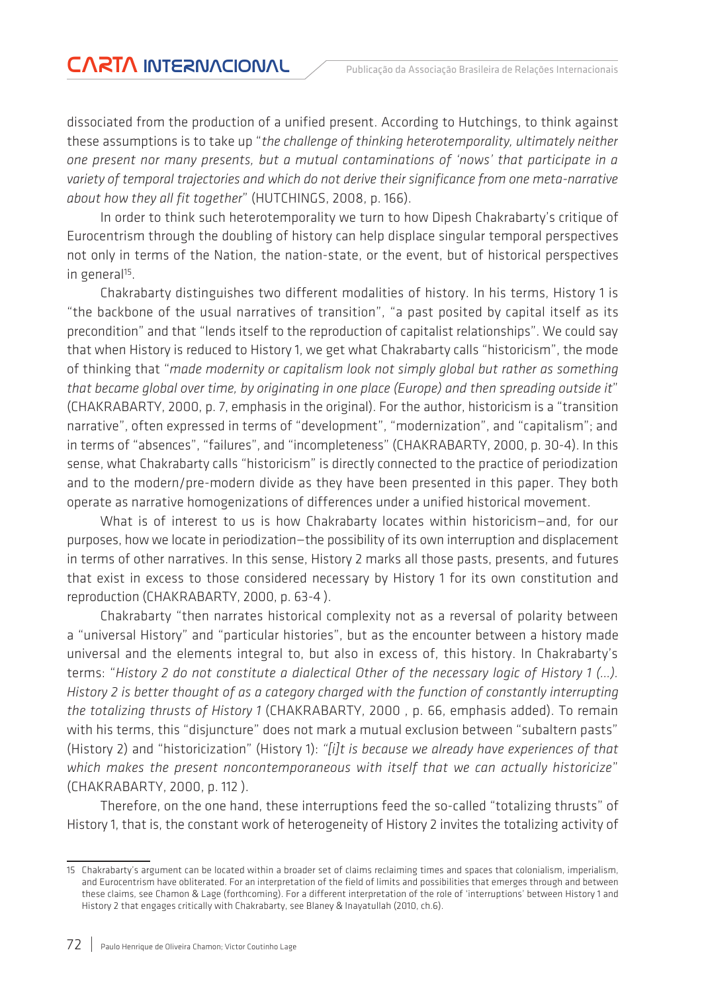dissociated from the production of a unified present. According to Hutchings, to think against these assumptions is to take up "*the challenge of thinking heterotemporality, ultimately neither one present nor many presents, but a mutual contaminations of 'nows' that participate in a variety of temporal trajectories and which do not derive their significance from one meta-narrative about how they all fit together*" (HUTCHINGS, 2008, p. 166).

In order to think such heterotemporality we turn to how Dipesh Chakrabarty's critique of Eurocentrism through the doubling of history can help displace singular temporal perspectives not only in terms of the Nation, the nation-state, or the event, but of historical perspectives in general<sup>15</sup>.

Chakrabarty distinguishes two different modalities of history. In his terms, History 1 is "the backbone of the usual narratives of transition", "a past posited by capital itself as its precondition" and that "lends itself to the reproduction of capitalist relationships". We could say that when History is reduced to History 1, we get what Chakrabarty calls "historicism", the mode of thinking that "*made modernity or capitalism look not simply global but rather as something that became global over time, by originating in one place (Europe) and then spreading outside it*" (CHAKRABARTY, 2000, p. 7, emphasis in the original). For the author, historicism is a "transition narrative", often expressed in terms of "development", "modernization", and "capitalism"; and in terms of "absences", "failures", and "incompleteness" (CHAKRABARTY, 2000, p. 30-4). In this sense, what Chakrabarty calls "historicism" is directly connected to the practice of periodization and to the modern/pre-modern divide as they have been presented in this paper. They both operate as narrative homogenizations of differences under a unified historical movement.

What is of interest to us is how Chakrabarty locates within historicism—and, for our purposes, how we locate in periodization—the possibility of its own interruption and displacement in terms of other narratives. In this sense, History 2 marks all those pasts, presents, and futures that exist in excess to those considered necessary by History 1 for its own constitution and reproduction (CHAKRABARTY, 2000, p. 63-4 ).

Chakrabarty "then narrates historical complexity not as a reversal of polarity between a "universal History" and "particular histories", but as the encounter between a history made universal and the elements integral to, but also in excess of, this history. In Chakrabarty's terms: "*History 2 do not constitute a dialectical Other of the necessary logic of History 1 (…). History 2 is better thought of as a category charged with the function of constantly interrupting the totalizing thrusts of History 1* (CHAKRABARTY, 2000 , p. 66, emphasis added). To remain with his terms, this "disjuncture" does not mark a mutual exclusion between "subaltern pasts" (History 2) and "historicization" (History 1): *"[i]t is because we already have experiences of that which makes the present noncontemporaneous with itself that we can actually historicize*" (CHAKRABARTY, 2000, p. 112 ).

Therefore, on the one hand, these interruptions feed the so-called "totalizing thrusts" of History 1, that is, the constant work of heterogeneity of History 2 invites the totalizing activity of

<sup>15</sup> Chakrabarty's argument can be located within a broader set of claims reclaiming times and spaces that colonialism, imperialism, and Eurocentrism have obliterated. For an interpretation of the field of limits and possibilities that emerges through and between these claims, see Chamon & Lage (forthcoming). For a different interpretation of the role of 'interruptions' between History 1 and History 2 that engages critically with Chakrabarty, see Blaney & Inayatullah (2010, ch.6).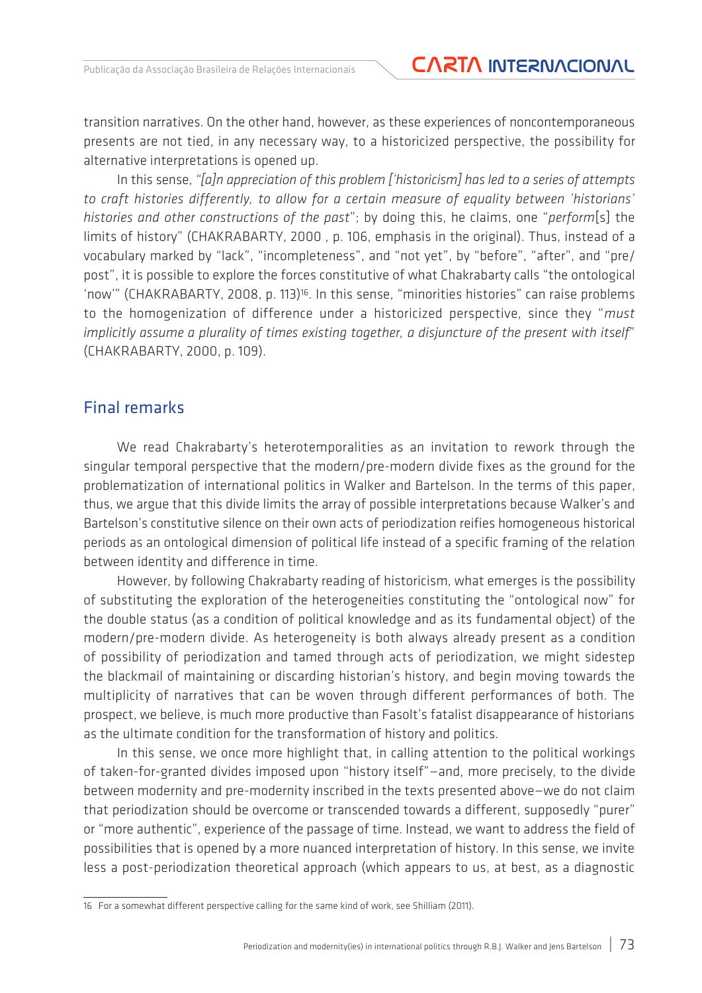transition narratives. On the other hand, however, as these experiences of noncontemporaneous presents are not tied, in any necessary way, to a historicized perspective, the possibility for alternative interpretations is opened up.

In this sense, *"[a]n appreciation of this problem ['historicism] has led to a series of attempts to craft histories differently, to allow for a certain measure of equality between 'historians' histories and other constructions of the past*"; by doing this, he claims, one "*perform*[s] the limits of history" (CHAKRABARTY, 2000 , p. 106, emphasis in the original). Thus, instead of a vocabulary marked by "lack", "incompleteness", and "not yet", by "before", "after", and "pre/ post", it is possible to explore the forces constitutive of what Chakrabarty calls "the ontological 'now'" (CHAKRABARTY, 2008, p. 113)16. In this sense, "minorities histories" can raise problems to the homogenization of difference under a historicized perspective, since they "*must implicitly assume a plurality of times existing together, a disjuncture of the present with itself*" (CHAKRABARTY, 2000, p. 109).

#### Final remarks

We read Chakrabarty's heterotemporalities as an invitation to rework through the singular temporal perspective that the modern/pre-modern divide fixes as the ground for the problematization of international politics in Walker and Bartelson. In the terms of this paper, thus, we argue that this divide limits the array of possible interpretations because Walker's and Bartelson's constitutive silence on their own acts of periodization reifies homogeneous historical periods as an ontological dimension of political life instead of a specific framing of the relation between identity and difference in time.

However, by following Chakrabarty reading of historicism, what emerges is the possibility of substituting the exploration of the heterogeneities constituting the "ontological now" for the double status (as a condition of political knowledge and as its fundamental object) of the modern/pre-modern divide. As heterogeneity is both always already present as a condition of possibility of periodization and tamed through acts of periodization, we might sidestep the blackmail of maintaining or discarding historian's history, and begin moving towards the multiplicity of narratives that can be woven through different performances of both. The prospect, we believe, is much more productive than Fasolt's fatalist disappearance of historians as the ultimate condition for the transformation of history and politics.

In this sense, we once more highlight that, in calling attention to the political workings of taken-for-granted divides imposed upon "history itself"—and, more precisely, to the divide between modernity and pre-modernity inscribed in the texts presented above—we do not claim that periodization should be overcome or transcended towards a different, supposedly "purer" or "more authentic", experience of the passage of time. Instead, we want to address the field of possibilities that is opened by a more nuanced interpretation of history. In this sense, we invite less a post-periodization theoretical approach (which appears to us, at best, as a diagnostic

<sup>16</sup> For a somewhat different perspective calling for the same kind of work, see Shilliam (2011).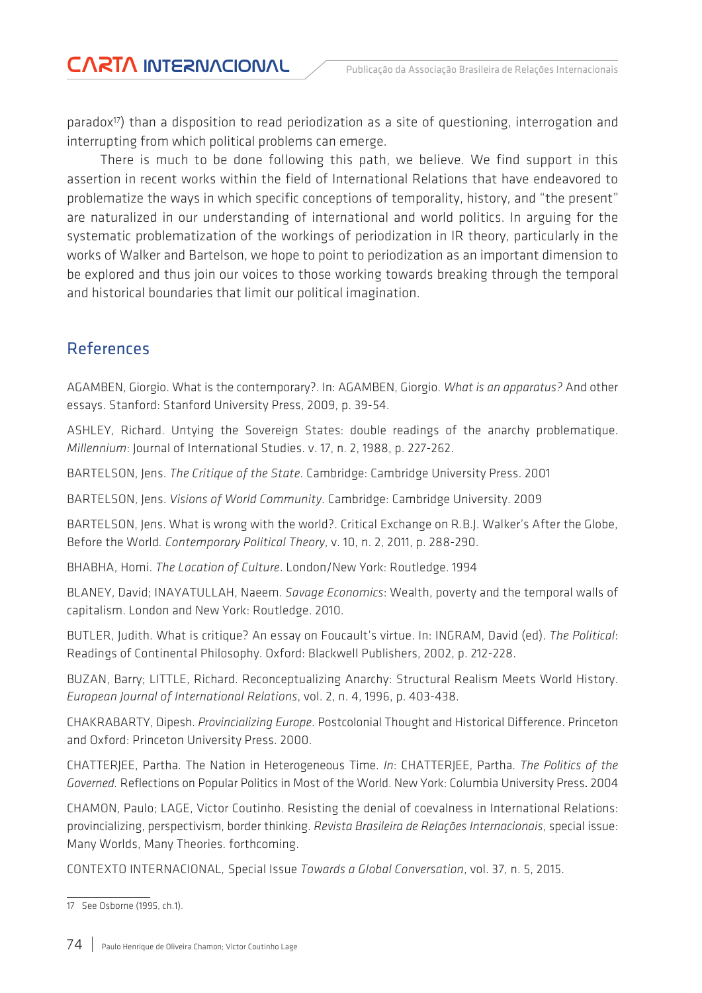paradox<sup>17</sup>) than a disposition to read periodization as a site of questioning, interrogation and interrupting from which political problems can emerge.

There is much to be done following this path, we believe. We find support in this assertion in recent works within the field of International Relations that have endeavored to problematize the ways in which specific conceptions of temporality, history, and "the present" are naturalized in our understanding of international and world politics. In arguing for the systematic problematization of the workings of periodization in IR theory, particularly in the works of Walker and Bartelson, we hope to point to periodization as an important dimension to be explored and thus join our voices to those working towards breaking through the temporal and historical boundaries that limit our political imagination.

### References

AGAMBEN, Giorgio. What is the contemporary?. In: AGAMBEN, Giorgio. *What is an apparatus?* And other essays. Stanford: Stanford University Press, 2009, p. 39-54.

ASHLEY, Richard. Untying the Sovereign States: double readings of the anarchy problematique. *Millennium*: Journal of International Studies. v. 17, n. 2, 1988, p. 227-262.

BARTELSON, Jens. *The Critique of the State*. Cambridge: Cambridge University Press. 2001

BARTELSON, Jens. *Visions of World Community*. Cambridge: Cambridge University. 2009

BARTELSON, Jens. What is wrong with the world?. Critical Exchange on R.B.J. Walker's After the Globe, Before the World*. Contemporary Political Theory*, v. 10, n. 2, 2011, p. 288-290.

BHABHA, Homi. *The Location of Culture*. London/New York: Routledge. 1994

BLANEY, David; INAYATULLAH, Naeem. *Savage Economics*: Wealth, poverty and the temporal walls of capitalism. London and New York: Routledge. 2010.

BUTLER, Judith. What is critique? An essay on Foucault's virtue. In: INGRAM, David (ed). *The Political*: Readings of Continental Philosophy. Oxford: Blackwell Publishers, 2002, p. 212-228.

BUZAN, Barry; LITTLE, Richard. Reconceptualizing Anarchy: Structural Realism Meets World History. *European Journal of International Relations*, vol. 2, n. 4, 1996, p. 403-438.

CHAKRABARTY, Dipesh. *Provincializing Europe*. Postcolonial Thought and Historical Difference. Princeton and Oxford: Princeton University Press. 2000.

CHATTERJEE, Partha. The Nation in Heterogeneous Time. *In*: CHATTERJEE, Partha. *The Politics of the Governed.* Reflections on Popular Politics in Most of the World. New York: Columbia University Press. 2004

CHAMON, Paulo; LAGE, Victor Coutinho. Resisting the denial of coevalness in International Relations: provincializing, perspectivism, border thinking. *Revista Brasileira de Relações Internacionais*, special issue: Many Worlds, Many Theories. forthcoming.

CONTEXTO INTERNACIONAL*,* Special Issue *Towards a Global Conversation*, vol. 37, n. 5, 2015.

<sup>17</sup> See Osborne (1995, ch.1).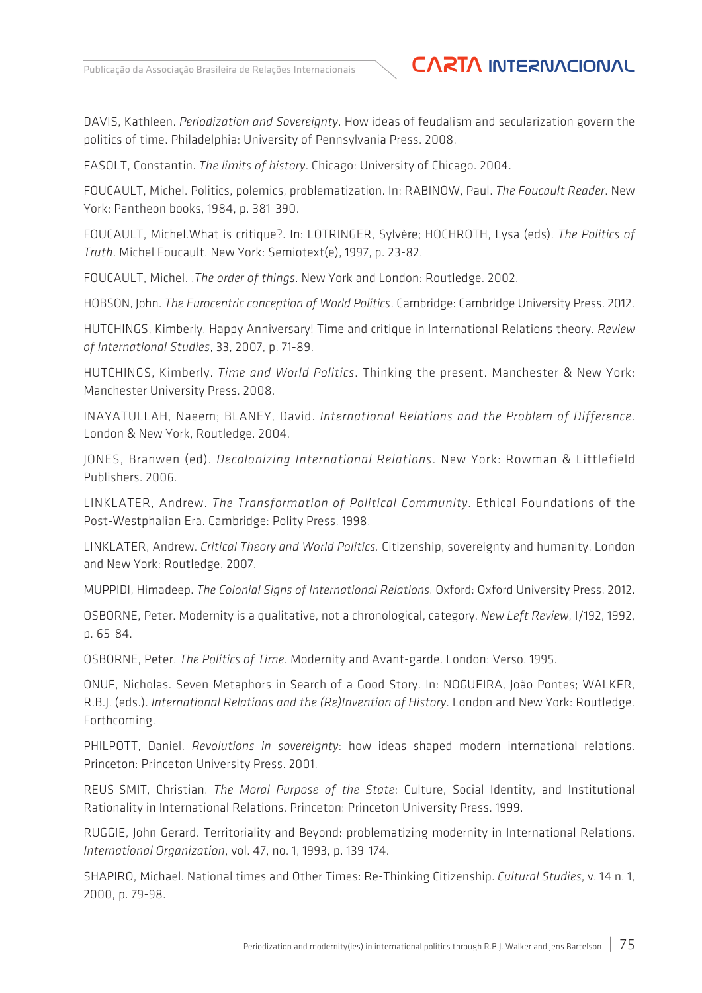DAVIS, Kathleen. *Periodization and Sovereignty*. How ideas of feudalism and secularization govern the politics of time. Philadelphia: University of Pennsylvania Press. 2008.

FASOLT, Constantin. *The limits of history*. Chicago: University of Chicago. 2004.

FOUCAULT, Michel. Politics, polemics, problematization. In: RABINOW, Paul. *The Foucault Reader*. New York: Pantheon books, 1984, p. 381-390.

FOUCAULT, Michel.What is critique?. In: LOTRINGER, Sylvère; HOCHROTH, Lysa (eds). *The Politics of Truth*. Michel Foucault. New York: Semiotext(e), 1997, p. 23-82.

FOUCAULT, Michel. .*The order of things*. New York and London: Routledge. 2002.

HOBSON, John. *The Eurocentric conception of World Politics*. Cambridge: Cambridge University Press. 2012.

HUTCHINGS, Kimberly. Happy Anniversary! Time and critique in International Relations theory. *Review of International Studies*, 33, 2007, p. 71-89.

HUTCHINGS, Kimberly. *Time and World Politics*. Thinking the present. Manchester & New York: Manchester University Press. 2008.

INAYATULLAH, Naeem; BLANEY, David. *International Relations and the Problem of Difference*. London & New York, Routledge. 2004.

JONES, Branwen (ed). *Decolonizing International Relations*. New York: Rowman & Littlefield Publishers. 2006.

LINKLATER, Andrew. *The Transformation of Political Community*. Ethical Foundations of the Post-Westphalian Era. Cambridge: Polity Press. 1998.

LINKLATER, Andrew. *Critical Theory and World Politics.* Citizenship, sovereignty and humanity. London and New York: Routledge. 2007.

MUPPIDI, Himadeep. *The Colonial Signs of International Relations*. Oxford: Oxford University Press. 2012.

OSBORNE, Peter. Modernity is a qualitative, not a chronological, category. *New Left Review*, I/192, 1992, p. 65-84.

OSBORNE, Peter. *The Politics of Time*. Modernity and Avant-garde. London: Verso. 1995.

ONUF, Nicholas. Seven Metaphors in Search of a Good Story. In: NOGUEIRA, João Pontes; WALKER, R.B.J. (eds.). *International Relations and the (Re)Invention of History*. London and New York: Routledge. Forthcoming.

PHILPOTT, Daniel. *Revolutions in sovereignty*: how ideas shaped modern international relations. Princeton: Princeton University Press. 2001.

REUS-SMIT, Christian. *The Moral Purpose of the State*: Culture, Social Identity, and Institutional Rationality in International Relations. Princeton: Princeton University Press. 1999.

RUGGIE, John Gerard. Territoriality and Beyond: problematizing modernity in International Relations. *International Organization*, vol. 47, no. 1, 1993, p. 139-174.

SHAPIRO, Michael. National times and Other Times: Re-Thinking Citizenship. *Cultural Studies*, v. 14 n. 1, 2000, p. 79-98.